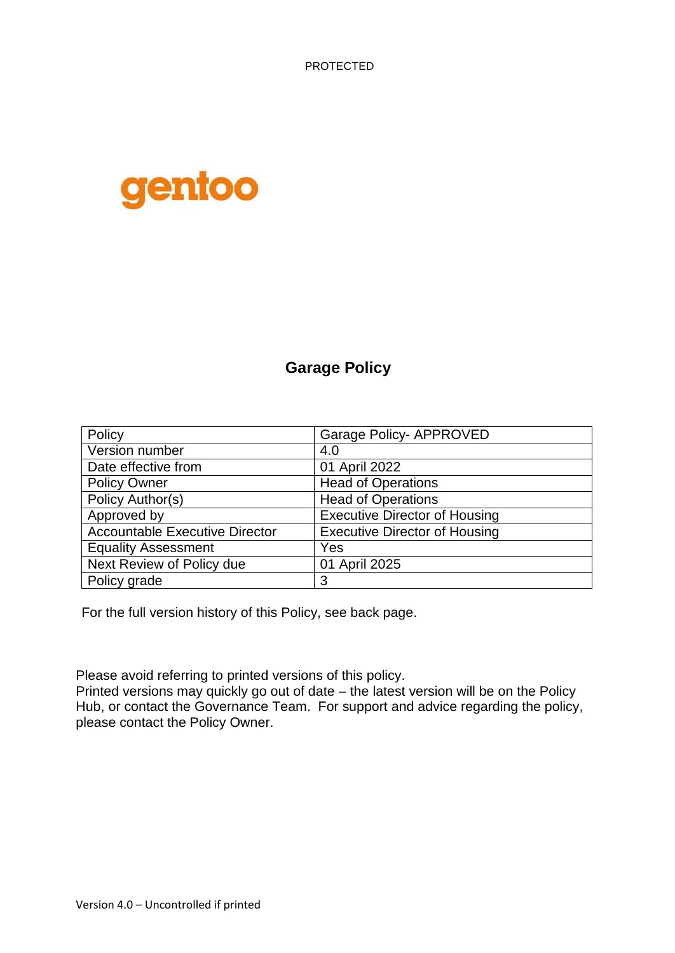PROTECTED



## **Garage Policy**

| Policy                                | <b>Garage Policy- APPROVED</b>       |  |  |
|---------------------------------------|--------------------------------------|--|--|
| Version number                        | 4.0                                  |  |  |
| Date effective from                   | 01 April 2022                        |  |  |
| <b>Policy Owner</b>                   | <b>Head of Operations</b>            |  |  |
| Policy Author(s)                      | <b>Head of Operations</b>            |  |  |
| Approved by                           | <b>Executive Director of Housing</b> |  |  |
| <b>Accountable Executive Director</b> | <b>Executive Director of Housing</b> |  |  |
| <b>Equality Assessment</b>            | Yes                                  |  |  |
| Next Review of Policy due             | 01 April 2025                        |  |  |
| Policy grade                          | 3                                    |  |  |

For the full version history of this Policy, see back page.

Please avoid referring to printed versions of this policy.

Printed versions may quickly go out of date – the latest version will be on the Policy Hub, or contact the Governance Team. For support and advice regarding the policy, please contact the Policy Owner.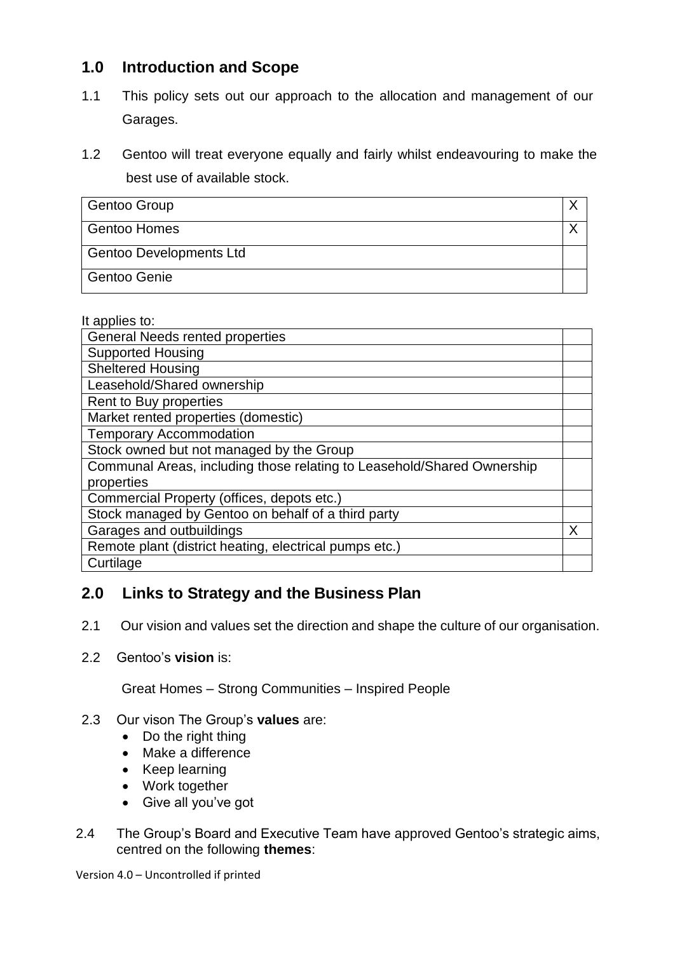## **1.0 Introduction and Scope**

- 1.1 This policy sets out our approach to the allocation and management of our Garages.
- 1.2 Gentoo will treat everyone equally and fairly whilst endeavouring to make the best use of available stock.

| <b>Gentoo Group</b>            |  |
|--------------------------------|--|
| <b>Gentoo Homes</b>            |  |
| <b>Gentoo Developments Ltd</b> |  |
| Gentoo Genie                   |  |

#### It applies to:

| <b>General Needs rented properties</b>                                 |  |
|------------------------------------------------------------------------|--|
| <b>Supported Housing</b>                                               |  |
| Sheltered Housing                                                      |  |
| Leasehold/Shared ownership                                             |  |
| Rent to Buy properties                                                 |  |
| Market rented properties (domestic)                                    |  |
| <b>Temporary Accommodation</b>                                         |  |
| Stock owned but not managed by the Group                               |  |
| Communal Areas, including those relating to Leasehold/Shared Ownership |  |
| properties                                                             |  |
| Commercial Property (offices, depots etc.)                             |  |
| Stock managed by Gentoo on behalf of a third party                     |  |
| Garages and outbuildings                                               |  |
| Remote plant (district heating, electrical pumps etc.)                 |  |
| Curtilage                                                              |  |

### **2.0 Links to Strategy and the Business Plan**

- 2.1 Our vision and values set the direction and shape the culture of our organisation.
- 2.2 Gentoo's **vision** is:

Great Homes – Strong Communities – Inspired People

#### 2.3 Our vison The Group's **values** are:

- Do the right thing
- Make a difference
- Keep learning
- Work together
- Give all you've got
- 2.4 The Group's Board and Executive Team have approved Gentoo's strategic aims, centred on the following **themes**:

Version 4.0 – Uncontrolled if printed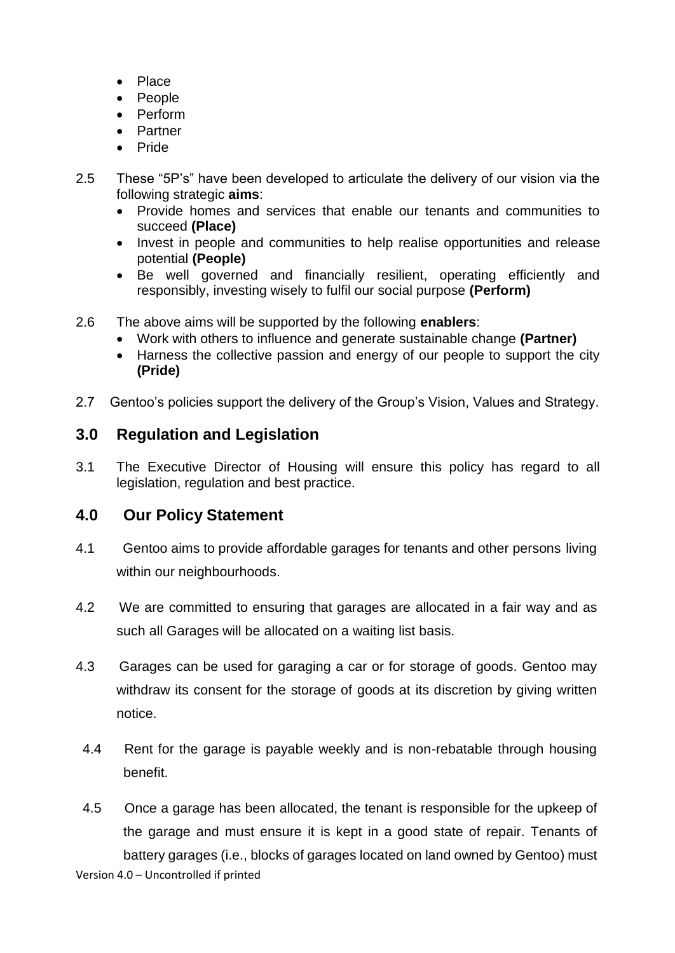- Place
- People
- Perform
- Partner
- Pride
- 2.5 These "5P's" have been developed to articulate the delivery of our vision via the following strategic **aims**:
	- Provide homes and services that enable our tenants and communities to succeed **(Place)**
	- Invest in people and communities to help realise opportunities and release potential **(People)**
	- Be well governed and financially resilient, operating efficiently and responsibly, investing wisely to fulfil our social purpose **(Perform)**
- 2.6 The above aims will be supported by the following **enablers**:
	- Work with others to influence and generate sustainable change **(Partner)**
	- Harness the collective passion and energy of our people to support the city **(Pride)**
- 2.7 Gentoo's policies support the delivery of the Group's Vision, Values and Strategy.

### **3.0 Regulation and Legislation**

3.1 The Executive Director of Housing will ensure this policy has regard to all legislation, regulation and best practice.

### **4.0 Our Policy Statement**

- 4.1 Gentoo aims to provide affordable garages for tenants and other persons living within our neighbourhoods.
- 4.2 We are committed to ensuring that garages are allocated in a fair way and as such all Garages will be allocated on a waiting list basis.
- 4.3 Garages can be used for garaging a car or for storage of goods. Gentoo may withdraw its consent for the storage of goods at its discretion by giving written notice.
- 4.4 Rent for the garage is payable weekly and is non-rebatable through housing benefit.
- 4.5 Once a garage has been allocated, the tenant is responsible for the upkeep of the garage and must ensure it is kept in a good state of repair. Tenants of battery garages (i.e., blocks of garages located on land owned by Gentoo) must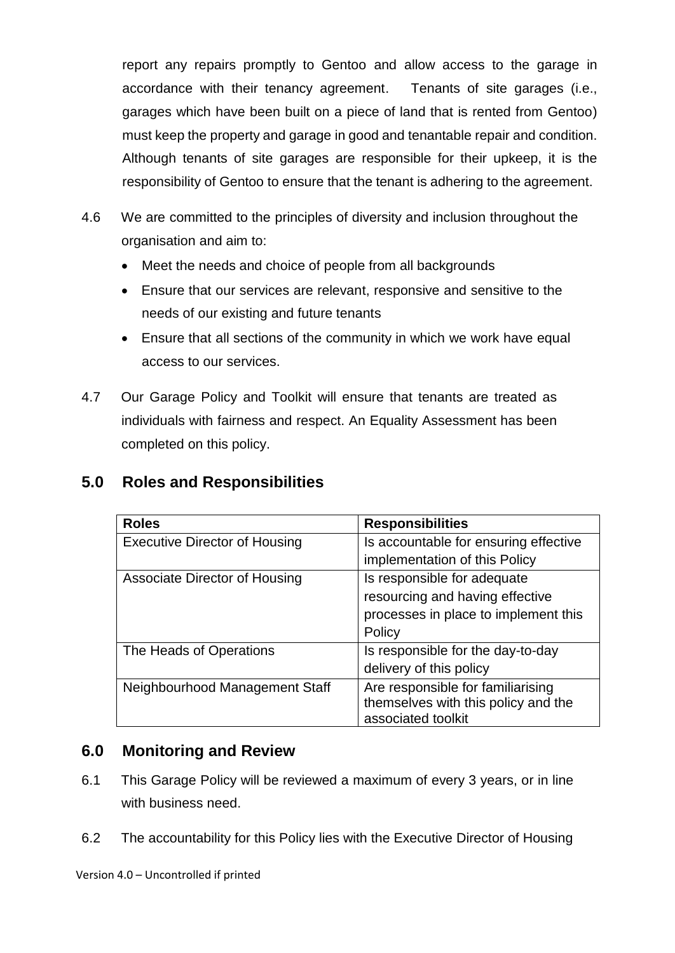report any repairs promptly to Gentoo and allow access to the garage in accordance with their tenancy agreement. Tenants of site garages (i.e., garages which have been built on a piece of land that is rented from Gentoo) must keep the property and garage in good and tenantable repair and condition. Although tenants of site garages are responsible for their upkeep, it is the responsibility of Gentoo to ensure that the tenant is adhering to the agreement.

- 4.6 We are committed to the principles of diversity and inclusion throughout the organisation and aim to:
	- Meet the needs and choice of people from all backgrounds
	- Ensure that our services are relevant, responsive and sensitive to the needs of our existing and future tenants
	- Ensure that all sections of the community in which we work have equal access to our services.
- 4.7 Our Garage Policy and Toolkit will ensure that tenants are treated as individuals with fairness and respect. An Equality Assessment has been completed on this policy.

## **5.0 Roles and Responsibilities**

| <b>Roles</b>                         | <b>Responsibilities</b>               |  |
|--------------------------------------|---------------------------------------|--|
| <b>Executive Director of Housing</b> | Is accountable for ensuring effective |  |
|                                      | implementation of this Policy         |  |
| <b>Associate Director of Housing</b> | Is responsible for adequate           |  |
|                                      | resourcing and having effective       |  |
|                                      | processes in place to implement this  |  |
|                                      | Policy                                |  |
| The Heads of Operations              | Is responsible for the day-to-day     |  |
|                                      | delivery of this policy               |  |
| Neighbourhood Management Staff       | Are responsible for familiarising     |  |
|                                      | themselves with this policy and the   |  |
|                                      | associated toolkit                    |  |

### **6.0 Monitoring and Review**

- 6.1 This Garage Policy will be reviewed a maximum of every 3 years, or in line with business need.
- 6.2 The accountability for this Policy lies with the Executive Director of Housing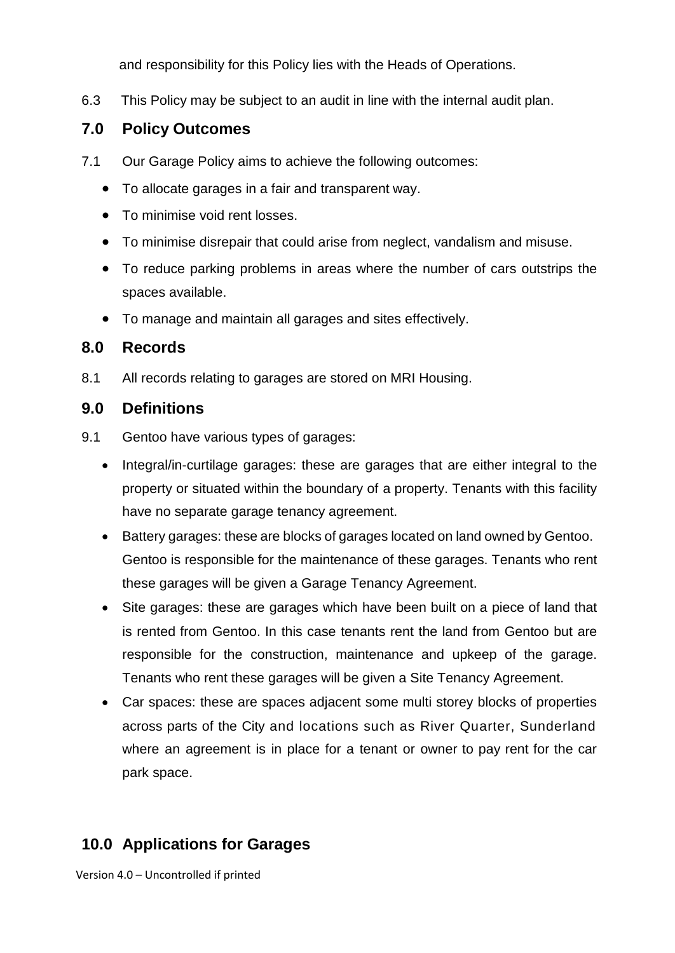and responsibility for this Policy lies with the Heads of Operations.

6.3 This Policy may be subject to an audit in line with the internal audit plan.

## **7.0 Policy Outcomes**

- 7.1 Our Garage Policy aims to achieve the following outcomes:
	- To allocate garages in a fair and transparent way.
	- To minimise void rent losses.
	- To minimise disrepair that could arise from neglect, vandalism and misuse.
	- To reduce parking problems in areas where the number of cars outstrips the spaces available.
	- To manage and maintain all garages and sites effectively.

### **8.0 Records**

8.1 All records relating to garages are stored on MRI Housing.

### **9.0 Definitions**

- 9.1 Gentoo have various types of garages:
	- Integral/in-curtilage garages: these are garages that are either integral to the property or situated within the boundary of a property. Tenants with this facility have no separate garage tenancy agreement.
	- Battery garages: these are blocks of garages located on land owned by Gentoo. Gentoo is responsible for the maintenance of these garages. Tenants who rent these garages will be given a Garage Tenancy Agreement.
	- Site garages: these are garages which have been built on a piece of land that is rented from Gentoo. In this case tenants rent the land from Gentoo but are responsible for the construction, maintenance and upkeep of the garage. Tenants who rent these garages will be given a Site Tenancy Agreement.
	- Car spaces: these are spaces adjacent some multi storey blocks of properties across parts of the City and locations such as River Quarter, Sunderland where an agreement is in place for a tenant or owner to pay rent for the car park space.

# **10.0 Applications for Garages**

Version 4.0 – Uncontrolled if printed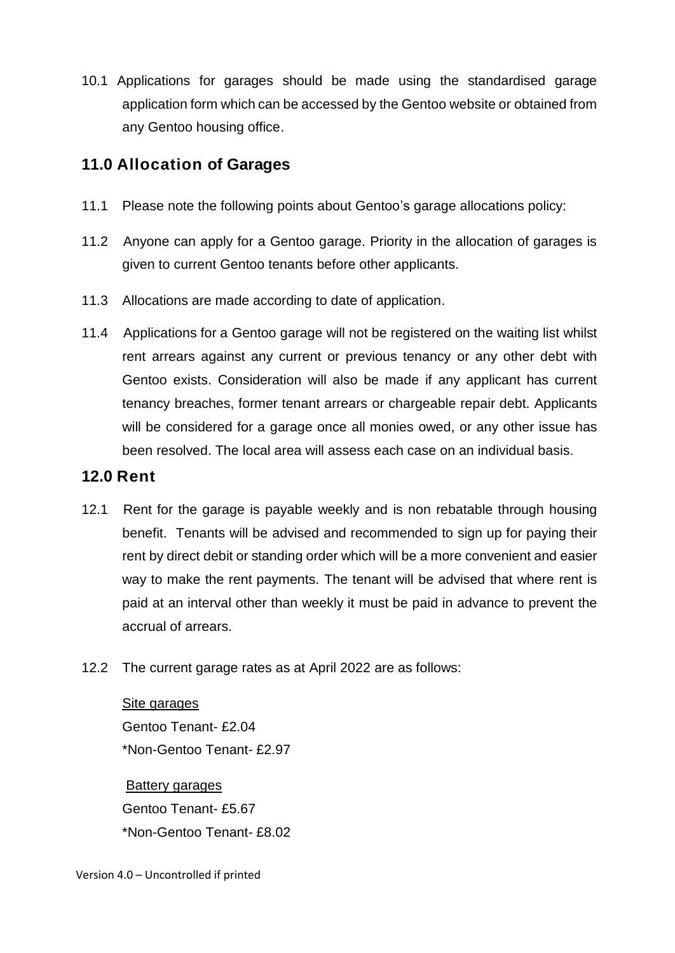10.1 Applications for garages should be made using the standardised garage application form which can be accessed by the Gentoo website or obtained from any Gentoo housing office.

## **11.0 Allocation of Garages**

- 11.1 Please note the following points about Gentoo's garage allocations policy:
- 11.2 Anyone can apply for a Gentoo garage. Priority in the allocation of garages is given to current Gentoo tenants before other applicants.
- 11.3 Allocations are made according to date of application.
- 11.4 Applications for a Gentoo garage will not be registered on the waiting list whilst rent arrears against any current or previous tenancy or any other debt with Gentoo exists. Consideration will also be made if any applicant has current tenancy breaches, former tenant arrears or chargeable repair debt. Applicants will be considered for a garage once all monies owed, or any other issue has been resolved. The local area will assess each case on an individual basis.

## **12.0 Rent**

- 12.1 Rent for the garage is payable weekly and is non rebatable through housing benefit. Tenants will be advised and recommended to sign up for paying their rent by direct debit or standing order which will be a more convenient and easier way to make the rent payments. The tenant will be advised that where rent is paid at an interval other than weekly it must be paid in advance to prevent the accrual of arrears.
- 12.2 The current garage rates as at April 2022 are as follows:

Site garages Gentoo Tenant- £2.04 \*Non-Gentoo Tenant- £2.97

Battery garages Gentoo Tenant- £5.67 \*Non-Gentoo Tenant- £8.02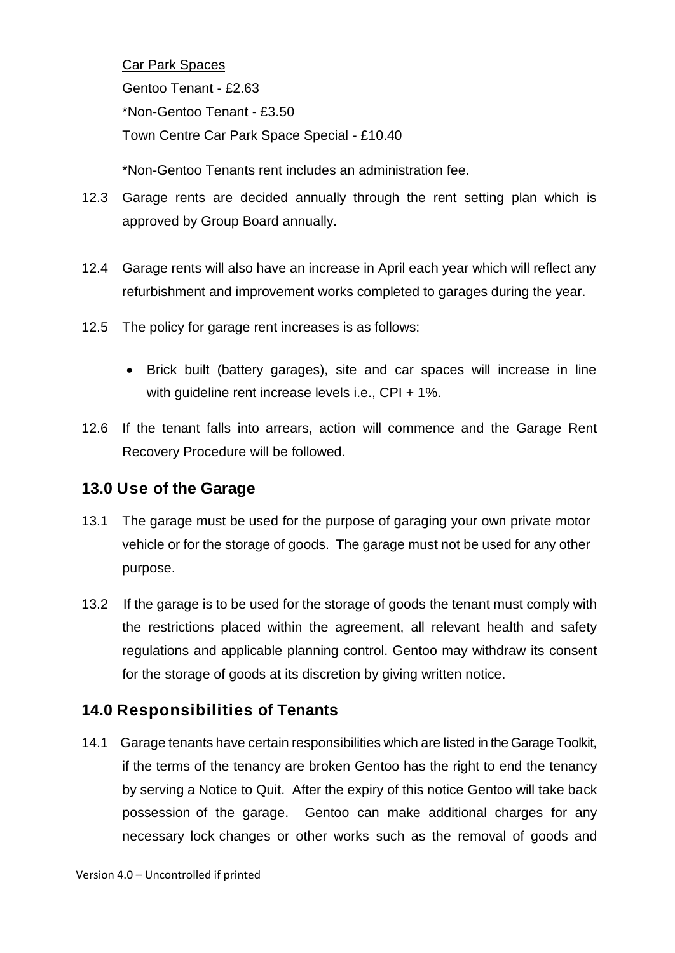Car Park Spaces

Gentoo Tenant - £2.63

\*Non-Gentoo Tenant - £3.50

Town Centre Car Park Space Special - £10.40

\*Non-Gentoo Tenants rent includes an administration fee.

- 12.3 Garage rents are decided annually through the rent setting plan which is approved by Group Board annually.
- 12.4 Garage rents will also have an increase in April each year which will reflect any refurbishment and improvement works completed to garages during the year.
- 12.5 The policy for garage rent increases is as follows:
	- Brick built (battery garages), site and car spaces will increase in line with quideline rent increase levels i.e., CPI + 1%.
- 12.6 If the tenant falls into arrears, action will commence and the Garage Rent Recovery Procedure will be followed.

## **13.0 Use of the Garage**

- 13.1 The garage must be used for the purpose of garaging your own private motor vehicle or for the storage of goods. The garage must not be used for any other purpose.
- 13.2 If the garage is to be used for the storage of goods the tenant must comply with the restrictions placed within the agreement, all relevant health and safety regulations and applicable planning control. Gentoo may withdraw its consent for the storage of goods at its discretion by giving written notice.

# **14.0 Responsibilities of Tenants**

14.1 Garage tenants have certain responsibilities which are listed in the Garage Toolkit, if the terms of the tenancy are broken Gentoo has the right to end the tenancy by serving a Notice to Quit. After the expiry of this notice Gentoo will take back possession of the garage. Gentoo can make additional charges for any necessary lock changes or other works such as the removal of goods and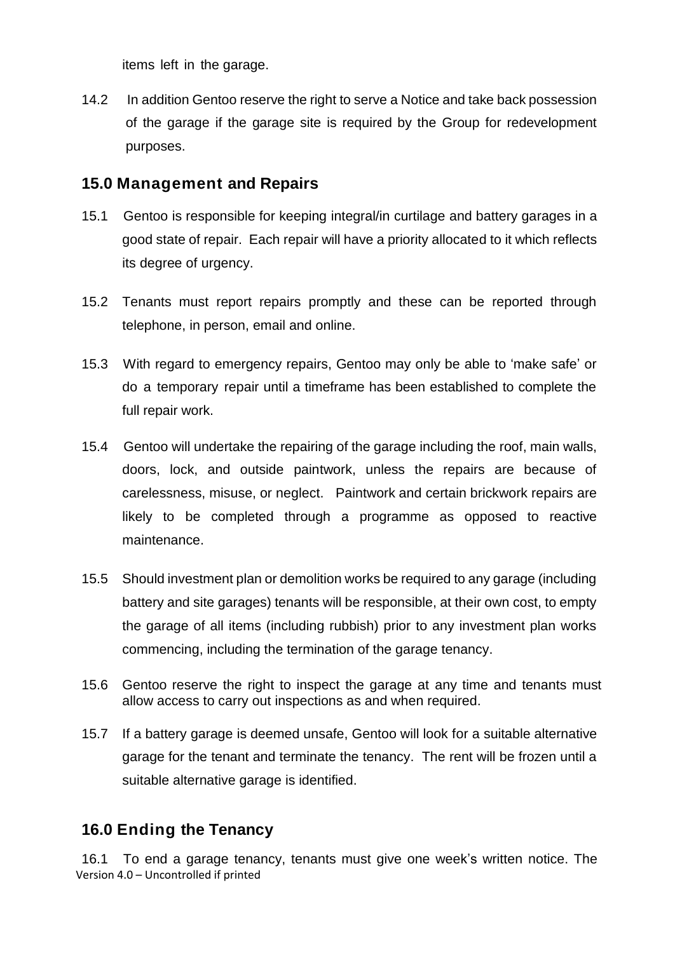items left in the garage.

14.2 In addition Gentoo reserve the right to serve a Notice and take back possession of the garage if the garage site is required by the Group for redevelopment purposes.

### **15.0 Management and Repairs**

- 15.1 Gentoo is responsible for keeping integral/in curtilage and battery garages in a good state of repair. Each repair will have a priority allocated to it which reflects its degree of urgency.
- 15.2 Tenants must report repairs promptly and these can be reported through telephone, in person, email and online.
- 15.3 With regard to emergency repairs, Gentoo may only be able to 'make safe' or do a temporary repair until a timeframe has been established to complete the full repair work.
- 15.4 Gentoo will undertake the repairing of the garage including the roof, main walls, doors, lock, and outside paintwork, unless the repairs are because of carelessness, misuse, or neglect. Paintwork and certain brickwork repairs are likely to be completed through a programme as opposed to reactive maintenance.
- 15.5 Should investment plan or demolition works be required to any garage (including battery and site garages) tenants will be responsible, at their own cost, to empty the garage of all items (including rubbish) prior to any investment plan works commencing, including the termination of the garage tenancy.
- 15.6 Gentoo reserve the right to inspect the garage at any time and tenants must allow access to carry out inspections as and when required.
- 15.7 If a battery garage is deemed unsafe, Gentoo will look for a suitable alternative garage for the tenant and terminate the tenancy. The rent will be frozen until a suitable alternative garage is identified.

## **16.0 Ending the Tenancy**

Version 4.0 – Uncontrolled if printed 16.1 To end a garage tenancy, tenants must give one week's written notice. The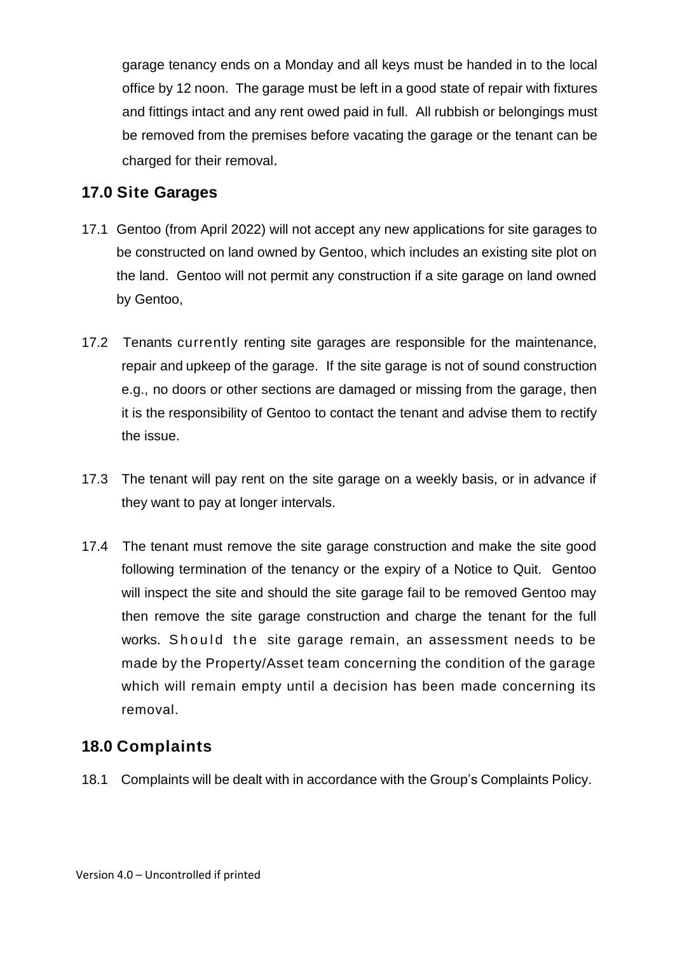garage tenancy ends on a Monday and all keys must be handed in to the local office by 12 noon. The garage must be left in a good state of repair with fixtures and fittings intact and any rent owed paid in full. All rubbish or belongings must be removed from the premises before vacating the garage or the tenant can be charged for their removal.

## **17.0 Site Garages**

- 17.1 Gentoo (from April 2022) will not accept any new applications for site garages to be constructed on land owned by Gentoo, which includes an existing site plot on the land. Gentoo will not permit any construction if a site garage on land owned by Gentoo,
- 17.2 Tenants currently renting site garages are responsible for the maintenance, repair and upkeep of the garage. If the site garage is not of sound construction e.g., no doors or other sections are damaged or missing from the garage, then it is the responsibility of Gentoo to contact the tenant and advise them to rectify the issue.
- 17.3 The tenant will pay rent on the site garage on a weekly basis, or in advance if they want to pay at longer intervals.
- 17.4 The tenant must remove the site garage construction and make the site good following termination of the tenancy or the expiry of a Notice to Quit. Gentoo will inspect the site and should the site garage fail to be removed Gentoo may then remove the site garage construction and charge the tenant for the full works. Should the site garage remain, an assessment needs to be made by the Property/Asset team concerning the condition of the garage which will remain empty until a decision has been made concerning its removal.

## **18.0 Complaints**

18.1 Complaints will be dealt with in accordance with the Group's Complaints Policy.